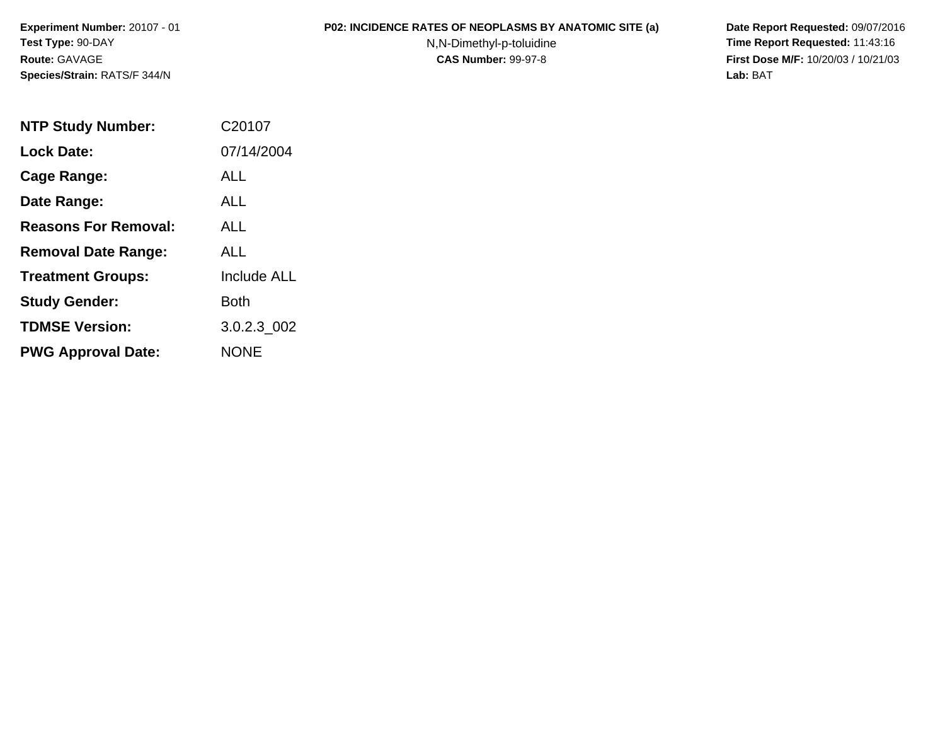**Experiment Number:** 20107 - 01**Test Type:** 90-DAY**Route:** GAVAGE**Species/Strain:** RATS/F 344/N

## **P02: INCIDENCE RATES OF NEOPLASMS BY ANATOMIC SITE (a) Date Report Requested:** 09/07/2016

N,N-Dimethyl-p-toluidine

 **Time Report Requested:** 11:43:16 **First Dose M/F:** 10/20/03 / 10/21/03<br>**Lab:** BAT **Lab:** BAT

| <b>NTP Study Number:</b>    | C20107             |
|-----------------------------|--------------------|
| <b>Lock Date:</b>           | 07/14/2004         |
| <b>Cage Range:</b>          | ALL                |
| Date Range:                 | ALL                |
| <b>Reasons For Removal:</b> | ALL.               |
| <b>Removal Date Range:</b>  | ALL                |
| <b>Treatment Groups:</b>    | <b>Include ALL</b> |
| <b>Study Gender:</b>        | Both               |
| <b>TDMSE Version:</b>       | 3.0.2.3 002        |
| <b>PWG Approval Date:</b>   | <b>NONE</b>        |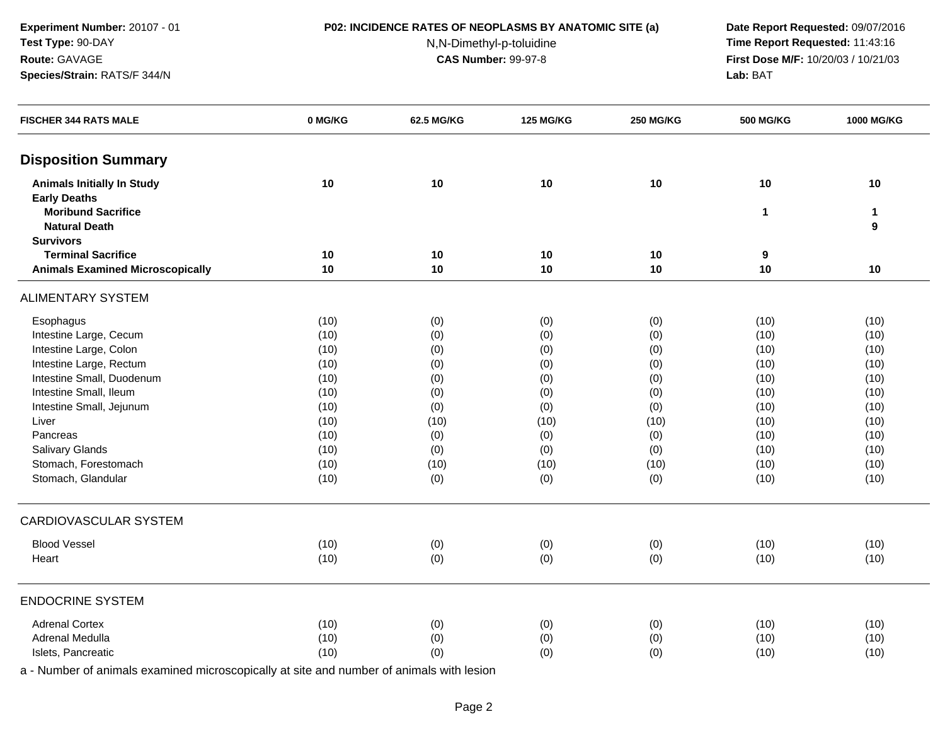**Experiment Number:** 20107 - 01**Test Type:** 90-DAY**Route:** GAVAGE

## **Species/Strain:** RATS/F 344/N

**P02: INCIDENCE RATES OF NEOPLASMS BY ANATOMIC SITE (a) Date Report Requested:** 09/07/2016

N,N-Dimethyl-p-toluidine

 **Time Report Requested:** 11:43:16 **First Dose M/F:** 10/20/03 / 10/21/03<br>**Lab:** BAT **Lab:** BAT

| <b>FISCHER 344 RATS MALE</b>            | 0 MG/KG | <b>62.5 MG/KG</b> | <b>125 MG/KG</b> | <b>250 MG/KG</b> | <b>500 MG/KG</b> | <b>1000 MG/KG</b> |
|-----------------------------------------|---------|-------------------|------------------|------------------|------------------|-------------------|
| <b>Disposition Summary</b>              |         |                   |                  |                  |                  |                   |
| <b>Animals Initially In Study</b>       | 10      | 10                | 10               | 10               | 10               | 10                |
| <b>Early Deaths</b>                     |         |                   |                  |                  |                  |                   |
| <b>Moribund Sacrifice</b>               |         |                   |                  |                  | 1                | $\mathbf{1}$      |
| <b>Natural Death</b>                    |         |                   |                  |                  |                  | $\boldsymbol{9}$  |
| <b>Survivors</b>                        |         |                   |                  |                  |                  |                   |
| <b>Terminal Sacrifice</b>               | 10      | 10                | 10               | 10               | 9                |                   |
| <b>Animals Examined Microscopically</b> | 10      | 10                | 10               | 10               | 10               | 10                |
| <b>ALIMENTARY SYSTEM</b>                |         |                   |                  |                  |                  |                   |
| Esophagus                               | (10)    | (0)               | (0)              | (0)              | (10)             | (10)              |
| Intestine Large, Cecum                  | (10)    | (0)               | (0)              | (0)              | (10)             | (10)              |
| Intestine Large, Colon                  | (10)    | (0)               | (0)              | (0)              | (10)             | (10)              |
| Intestine Large, Rectum                 | (10)    | (0)               | (0)              | (0)              | (10)             | (10)              |
| Intestine Small, Duodenum               | (10)    | (0)               | (0)              | (0)              | (10)             | (10)              |
| Intestine Small, Ileum                  | (10)    | (0)               | (0)              | (0)              | (10)             | (10)              |
| Intestine Small, Jejunum                | (10)    | (0)               | (0)              | (0)              | (10)             | (10)              |
| Liver                                   | (10)    | (10)              | (10)             | (10)             | (10)             | (10)              |
| Pancreas                                | (10)    | (0)               | (0)              | (0)              | (10)             | (10)              |
| Salivary Glands                         | (10)    | (0)               | (0)              | (0)              | (10)             | (10)              |
| Stomach, Forestomach                    | (10)    | (10)              | (10)             | (10)             | (10)             | (10)              |
| Stomach, Glandular                      | (10)    | (0)               | (0)              | (0)              | (10)             | (10)              |
| <b>CARDIOVASCULAR SYSTEM</b>            |         |                   |                  |                  |                  |                   |
| <b>Blood Vessel</b>                     | (10)    | (0)               | (0)              | (0)              | (10)             | (10)              |
| Heart                                   | (10)    | (0)               | (0)              | (0)              | (10)             | (10)              |
| <b>ENDOCRINE SYSTEM</b>                 |         |                   |                  |                  |                  |                   |
| <b>Adrenal Cortex</b>                   | (10)    | (0)               | (0)              | (0)              | (10)             | (10)              |
| Adrenal Medulla                         | (10)    | (0)               | (0)              | (0)              | (10)             | (10)              |
| Islets, Pancreatic                      | (10)    | (0)               | (0)              | (0)              | (10)             | (10)              |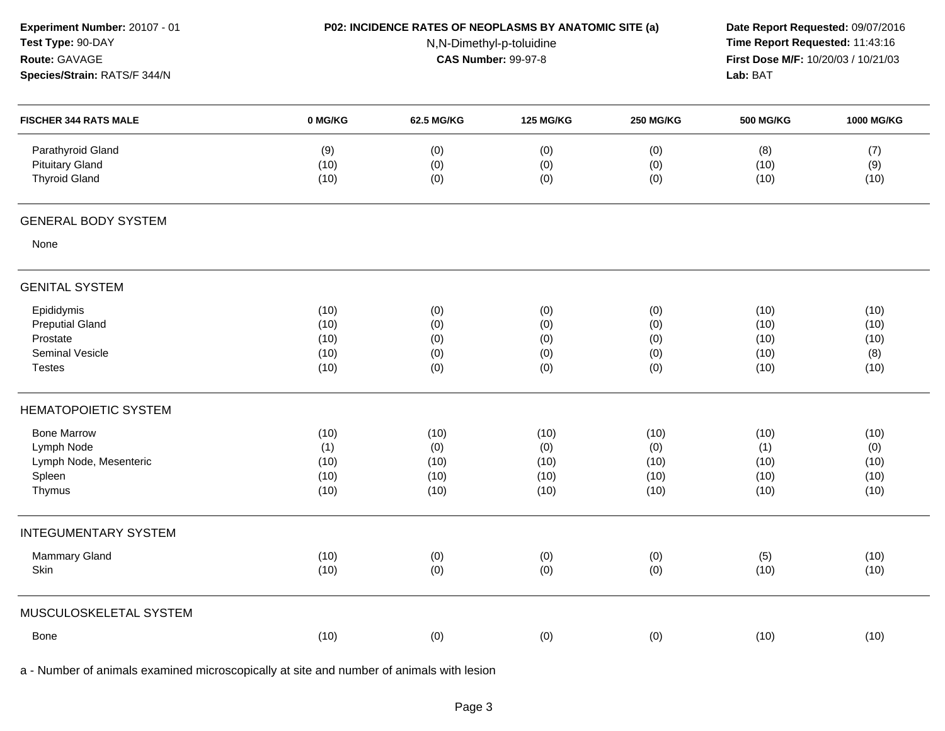| Experiment Number: 20107 - 01<br>Test Type: 90-DAY<br>Route: GAVAGE<br>Species/Strain: RATS/F 344/N |                     | P02: INCIDENCE RATES OF NEOPLASMS BY ANATOMIC SITE (a)<br>N,N-Dimethyl-p-toluidine<br><b>CAS Number: 99-97-8</b> |                   |                   |                     | Date Report Requested: 09/07/2016<br>Time Report Requested: 11:43:16<br>First Dose M/F: 10/20/03 / 10/21/03 |
|-----------------------------------------------------------------------------------------------------|---------------------|------------------------------------------------------------------------------------------------------------------|-------------------|-------------------|---------------------|-------------------------------------------------------------------------------------------------------------|
| <b>FISCHER 344 RATS MALE</b>                                                                        | 0 MG/KG             | 62.5 MG/KG                                                                                                       | <b>125 MG/KG</b>  | <b>250 MG/KG</b>  | <b>500 MG/KG</b>    | 1000 MG/KG                                                                                                  |
| Parathyroid Gland<br><b>Pituitary Gland</b><br><b>Thyroid Gland</b>                                 | (9)<br>(10)<br>(10) | (0)<br>(0)<br>(0)                                                                                                | (0)<br>(0)<br>(0) | (0)<br>(0)<br>(0) | (8)<br>(10)<br>(10) | (7)<br>(9)<br>(10)                                                                                          |
| <b>GENERAL BODY SYSTEM</b>                                                                          |                     |                                                                                                                  |                   |                   |                     |                                                                                                             |
| None                                                                                                |                     |                                                                                                                  |                   |                   |                     |                                                                                                             |
| <b>GENITAL SYSTEM</b>                                                                               |                     |                                                                                                                  |                   |                   |                     |                                                                                                             |
| Epididymis                                                                                          | (10)                | (0)                                                                                                              | (0)               | (0)               | (10)                | (10)                                                                                                        |
| <b>Preputial Gland</b>                                                                              | (10)                | (0)                                                                                                              | (0)               | (0)               | (10)                | (10)                                                                                                        |
| Prostate<br>Seminal Vesicle                                                                         | (10)<br>(10)        | (0)<br>(0)                                                                                                       | (0)<br>(0)        | (0)               | (10)<br>(10)        | (10)<br>(8)                                                                                                 |
| <b>Testes</b>                                                                                       | (10)                | (0)                                                                                                              | (0)               | (0)<br>(0)        | (10)                | (10)                                                                                                        |
| <b>HEMATOPOIETIC SYSTEM</b>                                                                         |                     |                                                                                                                  |                   |                   |                     |                                                                                                             |
| <b>Bone Marrow</b>                                                                                  | (10)                | (10)                                                                                                             | (10)              | (10)              | (10)                | (10)                                                                                                        |
| Lymph Node                                                                                          | (1)                 | (0)                                                                                                              | (0)               | (0)               | (1)                 | (0)                                                                                                         |
| Lymph Node, Mesenteric                                                                              | (10)                | (10)                                                                                                             | (10)              | (10)              | (10)                | (10)                                                                                                        |
| Spleen<br>Thymus                                                                                    | (10)<br>(10)        | (10)<br>(10)                                                                                                     | (10)<br>(10)      | (10)<br>(10)      | (10)<br>(10)        | (10)<br>(10)                                                                                                |
| <b>INTEGUMENTARY SYSTEM</b>                                                                         |                     |                                                                                                                  |                   |                   |                     |                                                                                                             |
| Mammary Gland                                                                                       | (10)                | (0)                                                                                                              | (0)               | (0)               | (5)                 | (10)                                                                                                        |
| Skin                                                                                                | (10)                | (0)                                                                                                              | (0)               | (0)               | (10)                | (10)                                                                                                        |
| MUSCULOSKELETAL SYSTEM                                                                              |                     |                                                                                                                  |                   |                   |                     |                                                                                                             |
| Bone                                                                                                | (10)                | (0)                                                                                                              | (0)               | (0)               | (10)                | (10)                                                                                                        |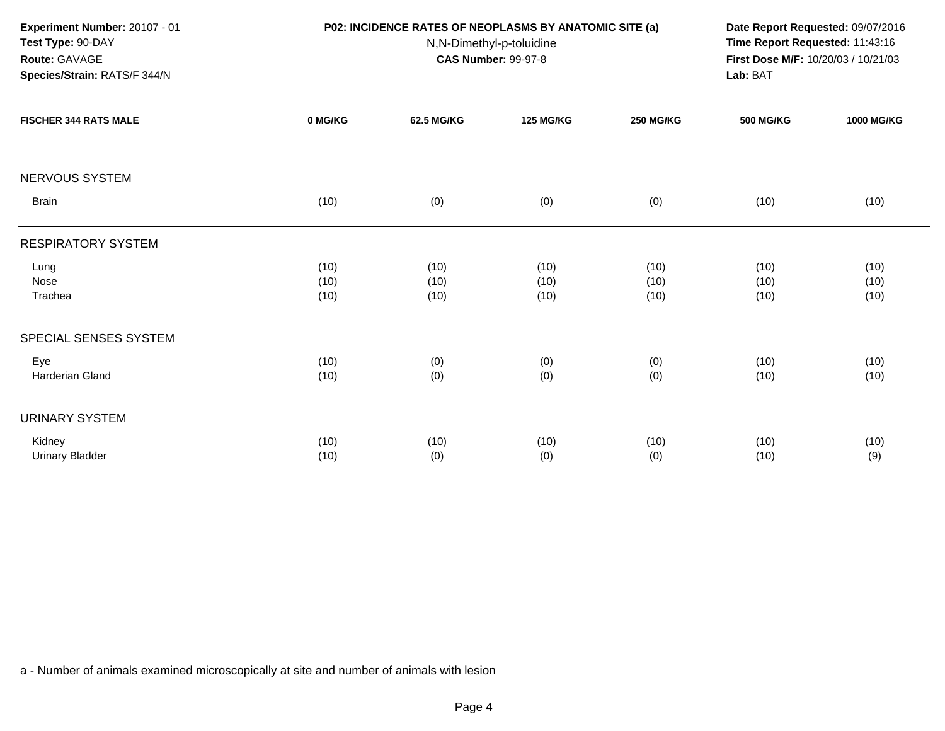| Experiment Number: 20107 - 01 |         | P02: INCIDENCE RATES OF NEOPLASMS BY ANATOMIC SITE (a) |                          |                  | Date Report Requested: 09/07/2016 |                                                                        |  |  |  |
|-------------------------------|---------|--------------------------------------------------------|--------------------------|------------------|-----------------------------------|------------------------------------------------------------------------|--|--|--|
| Test Type: 90-DAY             |         |                                                        | N,N-Dimethyl-p-toluidine |                  |                                   | Time Report Requested: 11:43:16<br>First Dose M/F: 10/20/03 / 10/21/03 |  |  |  |
| Route: GAVAGE                 |         | <b>CAS Number: 99-97-8</b>                             |                          |                  |                                   |                                                                        |  |  |  |
| Species/Strain: RATS/F 344/N  |         |                                                        |                          |                  | Lab: BAT                          |                                                                        |  |  |  |
| <b>FISCHER 344 RATS MALE</b>  | 0 MG/KG | 62.5 MG/KG                                             | <b>125 MG/KG</b>         | <b>250 MG/KG</b> | <b>500 MG/KG</b>                  | <b>1000 MG/KG</b>                                                      |  |  |  |
| NERVOUS SYSTEM                |         |                                                        |                          |                  |                                   |                                                                        |  |  |  |
| <b>Brain</b>                  | (10)    | (0)                                                    | (0)                      | (0)              | (10)                              | (10)                                                                   |  |  |  |
| <b>RESPIRATORY SYSTEM</b>     |         |                                                        |                          |                  |                                   |                                                                        |  |  |  |
| Lung                          | (10)    | (10)                                                   | (10)                     | (10)             | (10)                              | (10)                                                                   |  |  |  |
| Nose                          | (10)    | (10)                                                   | (10)                     | (10)             | (10)                              | (10)                                                                   |  |  |  |
| Trachea                       | (10)    | (10)                                                   | (10)                     | (10)             | (10)                              | (10)                                                                   |  |  |  |
| SPECIAL SENSES SYSTEM         |         |                                                        |                          |                  |                                   |                                                                        |  |  |  |
| Eye                           | (10)    | (0)                                                    | (0)                      | (0)              | (10)                              | (10)                                                                   |  |  |  |
| Harderian Gland               | (10)    | (0)                                                    | (0)                      | (0)              | (10)                              | (10)                                                                   |  |  |  |
| <b>URINARY SYSTEM</b>         |         |                                                        |                          |                  |                                   |                                                                        |  |  |  |
| Kidney                        | (10)    | (10)                                                   | (10)                     | (10)             | (10)                              | (10)                                                                   |  |  |  |
| <b>Urinary Bladder</b>        | (10)    | (0)                                                    | (0)                      | (0)              | (10)                              | (9)                                                                    |  |  |  |
|                               |         |                                                        |                          |                  |                                   |                                                                        |  |  |  |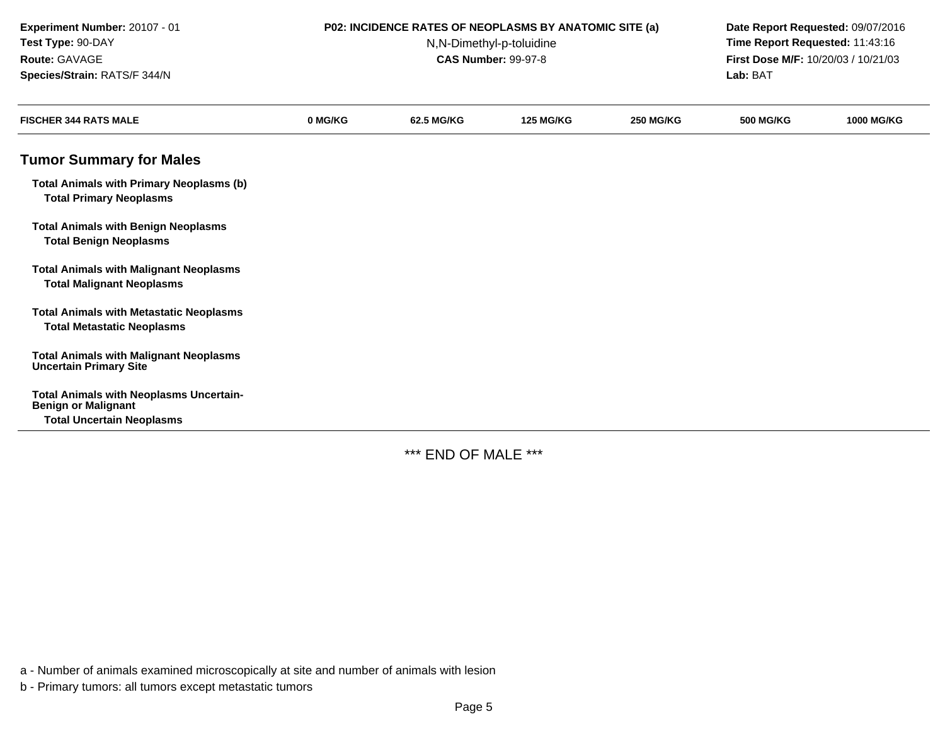| Experiment Number: 20107 - 01<br>Test Type: 90-DAY<br>Route: GAVAGE<br>Species/Strain: RATS/F 344/N              |         | P02: INCIDENCE RATES OF NEOPLASMS BY ANATOMIC SITE (a)<br>N,N-Dimethyl-p-toluidine<br><b>CAS Number: 99-97-8</b> | Date Report Requested: 09/07/2016<br>Time Report Requested: 11:43:16<br>First Dose M/F: 10/20/03 / 10/21/03<br>Lab: BAT |                  |                  |                   |
|------------------------------------------------------------------------------------------------------------------|---------|------------------------------------------------------------------------------------------------------------------|-------------------------------------------------------------------------------------------------------------------------|------------------|------------------|-------------------|
| <b>FISCHER 344 RATS MALE</b>                                                                                     | 0 MG/KG | 62.5 MG/KG                                                                                                       | <b>125 MG/KG</b>                                                                                                        | <b>250 MG/KG</b> | <b>500 MG/KG</b> | <b>1000 MG/KG</b> |
| <b>Tumor Summary for Males</b>                                                                                   |         |                                                                                                                  |                                                                                                                         |                  |                  |                   |
| <b>Total Animals with Primary Neoplasms (b)</b><br><b>Total Primary Neoplasms</b>                                |         |                                                                                                                  |                                                                                                                         |                  |                  |                   |
| <b>Total Animals with Benign Neoplasms</b><br><b>Total Benign Neoplasms</b>                                      |         |                                                                                                                  |                                                                                                                         |                  |                  |                   |
| <b>Total Animals with Malignant Neoplasms</b><br><b>Total Malignant Neoplasms</b>                                |         |                                                                                                                  |                                                                                                                         |                  |                  |                   |
| <b>Total Animals with Metastatic Neoplasms</b><br><b>Total Metastatic Neoplasms</b>                              |         |                                                                                                                  |                                                                                                                         |                  |                  |                   |
| <b>Total Animals with Malignant Neoplasms</b><br><b>Uncertain Primary Site</b>                                   |         |                                                                                                                  |                                                                                                                         |                  |                  |                   |
| <b>Total Animals with Neoplasms Uncertain-</b><br><b>Benign or Malignant</b><br><b>Total Uncertain Neoplasms</b> |         |                                                                                                                  |                                                                                                                         |                  |                  |                   |

\*\*\* END OF MALE \*\*\*

a - Number of animals examined microscopically at site and number of animals with lesion

b - Primary tumors: all tumors except metastatic tumors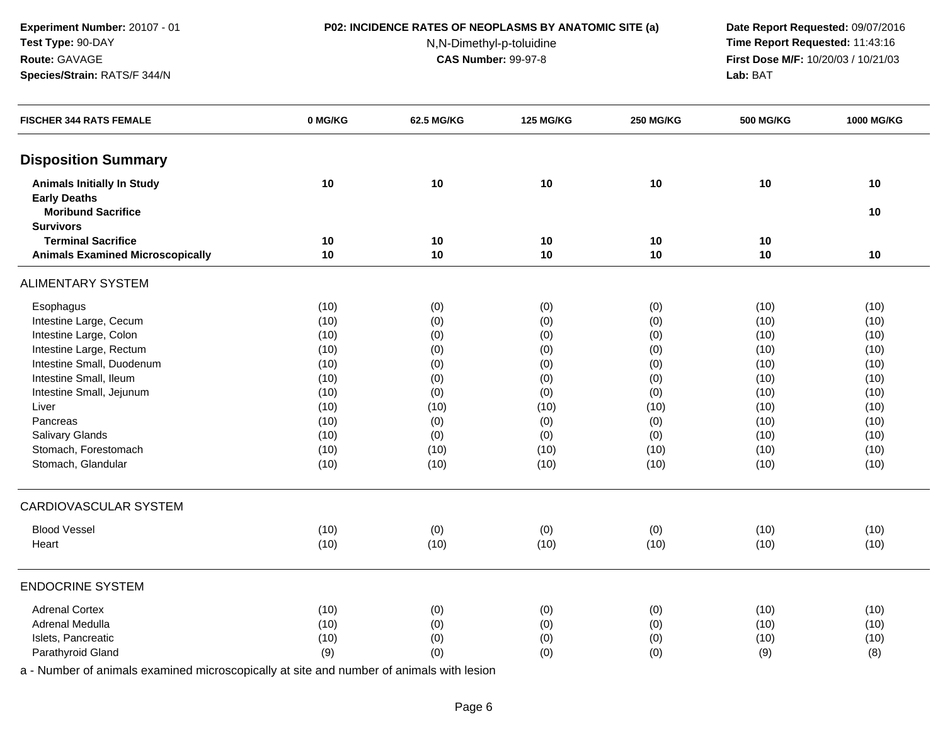**Experiment Number:** 20107 - 01**Test Type:** 90-DAY**Route:** GAVAGE**Species/Strain:** RATS/F 344/N

## **P02: INCIDENCE RATES OF NEOPLASMS BY ANATOMIC SITE (a) Date Report Requested:** 09/07/2016

N,N-Dimethyl-p-toluidine

 **Time Report Requested:** 11:43:16 **First Dose M/F:** 10/20/03 / 10/21/03<br>**Lab:** BAT **Lab:** BAT

| <b>FISCHER 344 RATS FEMALE</b>                           | 0 MG/KG | 62.5 MG/KG | <b>125 MG/KG</b> | <b>250 MG/KG</b> | <b>500 MG/KG</b> | <b>1000 MG/KG</b> |
|----------------------------------------------------------|---------|------------|------------------|------------------|------------------|-------------------|
| <b>Disposition Summary</b>                               |         |            |                  |                  |                  |                   |
| <b>Animals Initially In Study</b><br><b>Early Deaths</b> | 10      | 10         | 10               | 10               | 10               | 10                |
| <b>Moribund Sacrifice</b><br><b>Survivors</b>            |         |            |                  |                  |                  | 10                |
| <b>Terminal Sacrifice</b>                                | 10      | 10         | 10               | 10               | 10               |                   |
| <b>Animals Examined Microscopically</b>                  | 10      | 10         | 10               | 10               | 10               | 10                |
| <b>ALIMENTARY SYSTEM</b>                                 |         |            |                  |                  |                  |                   |
| Esophagus                                                | (10)    | (0)        | (0)              | (0)              | (10)             | (10)              |
| Intestine Large, Cecum                                   | (10)    | (0)        | (0)              | (0)              | (10)             | (10)              |
| Intestine Large, Colon                                   | (10)    | (0)        | (0)              | (0)              | (10)             | (10)              |
| Intestine Large, Rectum                                  | (10)    | (0)        | (0)              | (0)              | (10)             | (10)              |
| Intestine Small, Duodenum                                | (10)    | (0)        | (0)              | (0)              | (10)             | (10)              |
| Intestine Small, Ileum                                   | (10)    | (0)        | (0)              | (0)              | (10)             | (10)              |
| Intestine Small, Jejunum                                 | (10)    | (0)        | (0)              | (0)              | (10)             | (10)              |
| Liver                                                    | (10)    | (10)       | (10)             | (10)             | (10)             | (10)              |
| Pancreas                                                 | (10)    | (0)        | (0)              | (0)              | (10)             | (10)              |
| Salivary Glands                                          | (10)    | (0)        | (0)              | (0)              | (10)             | (10)              |
| Stomach, Forestomach                                     | (10)    | (10)       | (10)             | (10)             | (10)             | (10)              |
| Stomach, Glandular                                       | (10)    | (10)       | (10)             | (10)             | (10)             | (10)              |
| CARDIOVASCULAR SYSTEM                                    |         |            |                  |                  |                  |                   |
| <b>Blood Vessel</b>                                      | (10)    | (0)        | (0)              | (0)              | (10)             | (10)              |
| Heart                                                    | (10)    | (10)       | (10)             | (10)             | (10)             | (10)              |
| <b>ENDOCRINE SYSTEM</b>                                  |         |            |                  |                  |                  |                   |
| <b>Adrenal Cortex</b>                                    | (10)    | (0)        | (0)              | (0)              | (10)             | (10)              |
| Adrenal Medulla                                          | (10)    | (0)        | (0)              | (0)              | (10)             | (10)              |
| Islets, Pancreatic                                       | (10)    | (0)        | (0)              | (0)              | (10)             | (10)              |
| Parathyroid Gland                                        | (9)     | (0)        | (0)              | (0)              | (9)              | (8)               |
|                                                          |         |            |                  |                  |                  |                   |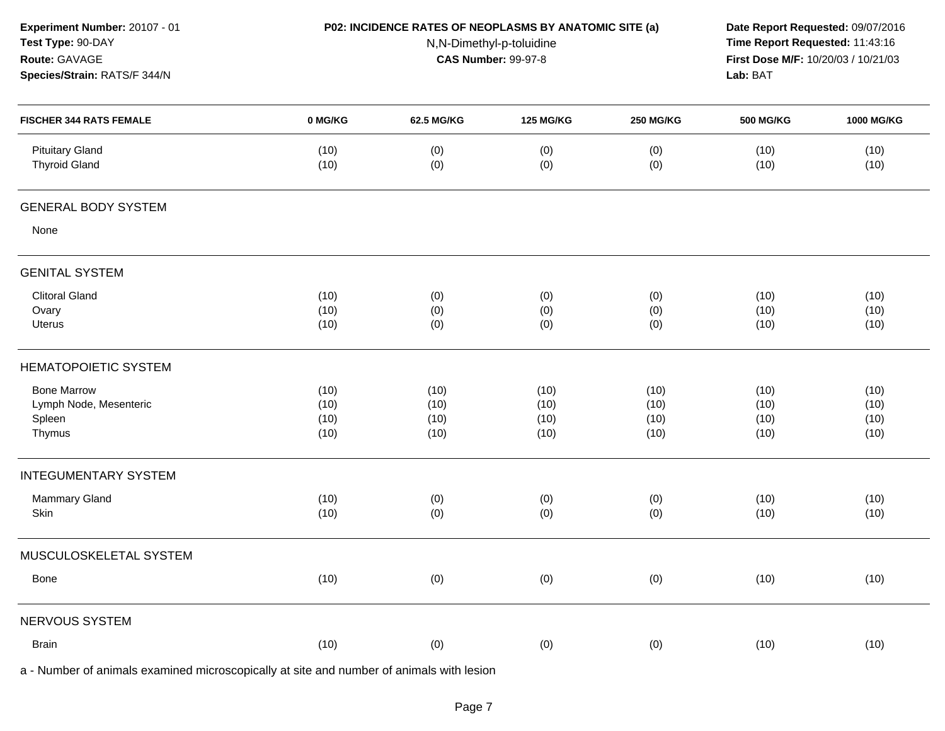| Experiment Number: 20107 - 01<br>Test Type: 90-DAY<br>Route: GAVAGE<br>Species/Strain: RATS/F 344/N |              | P02: INCIDENCE RATES OF NEOPLASMS BY ANATOMIC SITE (a)<br>N,N-Dimethyl-p-toluidine<br><b>CAS Number: 99-97-8</b> |                  |                  |                  | Date Report Requested: 09/07/2016<br>Time Report Requested: 11:43:16<br>First Dose M/F: 10/20/03 / 10/21/03<br>Lab: BAT |  |
|-----------------------------------------------------------------------------------------------------|--------------|------------------------------------------------------------------------------------------------------------------|------------------|------------------|------------------|-------------------------------------------------------------------------------------------------------------------------|--|
| <b>FISCHER 344 RATS FEMALE</b>                                                                      | 0 MG/KG      | 62.5 MG/KG                                                                                                       | <b>125 MG/KG</b> | <b>250 MG/KG</b> | <b>500 MG/KG</b> | 1000 MG/KG                                                                                                              |  |
| <b>Pituitary Gland</b><br><b>Thyroid Gland</b>                                                      | (10)<br>(10) | (0)<br>(0)                                                                                                       | (0)<br>(0)       | (0)<br>(0)       | (10)<br>(10)     | (10)<br>(10)                                                                                                            |  |
| <b>GENERAL BODY SYSTEM</b>                                                                          |              |                                                                                                                  |                  |                  |                  |                                                                                                                         |  |
| None                                                                                                |              |                                                                                                                  |                  |                  |                  |                                                                                                                         |  |
| <b>GENITAL SYSTEM</b>                                                                               |              |                                                                                                                  |                  |                  |                  |                                                                                                                         |  |
| <b>Clitoral Gland</b>                                                                               | (10)         | (0)                                                                                                              | (0)              | (0)              | (10)             | (10)                                                                                                                    |  |
| Ovary                                                                                               | (10)         | (0)                                                                                                              | (0)              | (0)              | (10)             | (10)                                                                                                                    |  |
| Uterus                                                                                              | (10)         | (0)                                                                                                              | (0)              | (0)              | (10)             | (10)                                                                                                                    |  |
| <b>HEMATOPOIETIC SYSTEM</b>                                                                         |              |                                                                                                                  |                  |                  |                  |                                                                                                                         |  |
| <b>Bone Marrow</b>                                                                                  | (10)         | (10)                                                                                                             | (10)             | (10)             | (10)             | (10)                                                                                                                    |  |
| Lymph Node, Mesenteric                                                                              | (10)         | (10)                                                                                                             | (10)             | (10)             | (10)             | (10)                                                                                                                    |  |
| Spleen                                                                                              | (10)         | (10)                                                                                                             | (10)             | (10)             | (10)             | (10)                                                                                                                    |  |
| Thymus                                                                                              | (10)         | (10)                                                                                                             | (10)             | (10)             | (10)             | (10)                                                                                                                    |  |
| <b>INTEGUMENTARY SYSTEM</b>                                                                         |              |                                                                                                                  |                  |                  |                  |                                                                                                                         |  |
| Mammary Gland                                                                                       | (10)         | (0)                                                                                                              | (0)              | (0)              | (10)             | (10)                                                                                                                    |  |
| Skin                                                                                                | (10)         | (0)                                                                                                              | (0)              | (0)              | (10)             | (10)                                                                                                                    |  |
| MUSCULOSKELETAL SYSTEM                                                                              |              |                                                                                                                  |                  |                  |                  |                                                                                                                         |  |
| Bone                                                                                                | (10)         | (0)                                                                                                              | (0)              | (0)              | (10)             | (10)                                                                                                                    |  |
| NERVOUS SYSTEM                                                                                      |              |                                                                                                                  |                  |                  |                  |                                                                                                                         |  |
| <b>Brain</b>                                                                                        | (10)         | (0)                                                                                                              | (0)              | (0)              | (10)             | (10)                                                                                                                    |  |
|                                                                                                     |              |                                                                                                                  |                  |                  |                  |                                                                                                                         |  |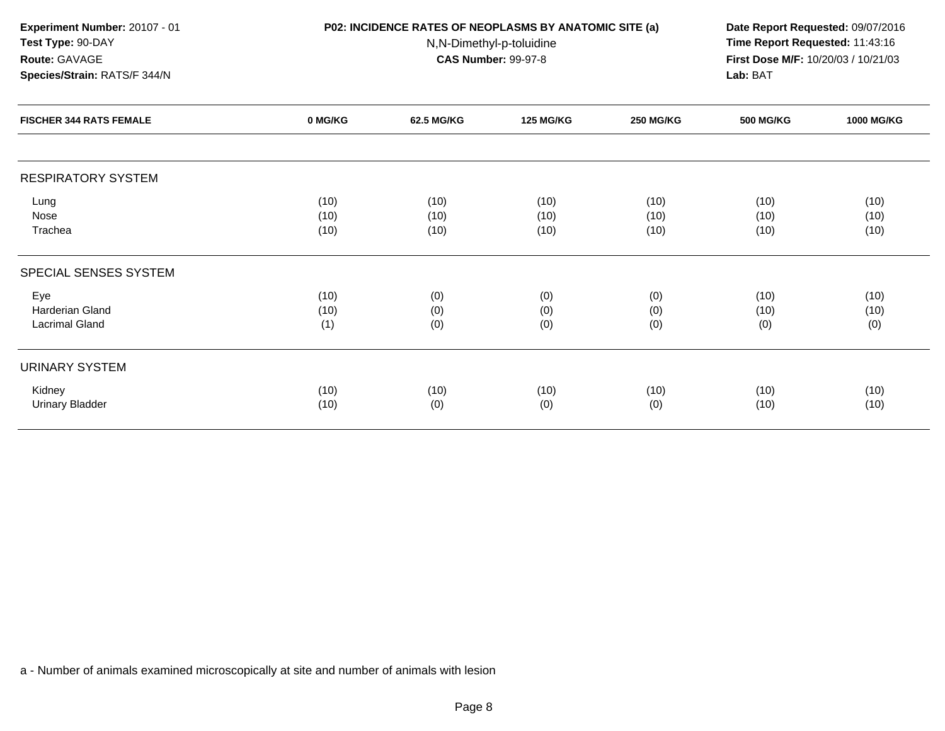**Experiment Number:** 20107 - 01

**Test Type:** 90-DAY**Route:** GAVAGE

**Species/Strain:** RATS/F 344/N

## **P02: INCIDENCE RATES OF NEOPLASMS BY ANATOMIC SITE (a) Date Report Requested:** 09/07/2016

N,N-Dimethyl-p-toluidine

 **Time Report Requested:** 11:43:16 **First Dose M/F:** 10/20/03 / 10/21/03<br>**Lab:** BAT **Lab:** BAT

| <b>FISCHER 344 RATS FEMALE</b> | 0 MG/KG | 62.5 MG/KG | <b>125 MG/KG</b> | <b>250 MG/KG</b> | <b>500 MG/KG</b> | <b>1000 MG/KG</b> |
|--------------------------------|---------|------------|------------------|------------------|------------------|-------------------|
|                                |         |            |                  |                  |                  |                   |
| <b>RESPIRATORY SYSTEM</b>      |         |            |                  |                  |                  |                   |
| Lung                           | (10)    | (10)       | (10)             | (10)             | (10)             | (10)              |
| Nose                           | (10)    | (10)       | (10)             | (10)             | (10)             | (10)              |
| Trachea                        | (10)    | (10)       | (10)             | (10)             | (10)             | (10)              |
| SPECIAL SENSES SYSTEM          |         |            |                  |                  |                  |                   |
| Eye                            | (10)    | (0)        | (0)              | (0)              | (10)             | (10)              |
| Harderian Gland                | (10)    | (0)        | (0)              | (0)              | (10)             | (10)              |
| <b>Lacrimal Gland</b>          | (1)     | (0)        | (0)              | (0)              | (0)              | (0)               |
|                                |         |            |                  |                  |                  |                   |
| URINARY SYSTEM                 |         |            |                  |                  |                  |                   |
| Kidney                         | (10)    | (10)       | (10)             | (10)             | (10)             | (10)              |
| <b>Urinary Bladder</b>         | (10)    | (0)        | (0)              | (0)              | (10)             | (10)              |
|                                |         |            |                  |                  |                  |                   |